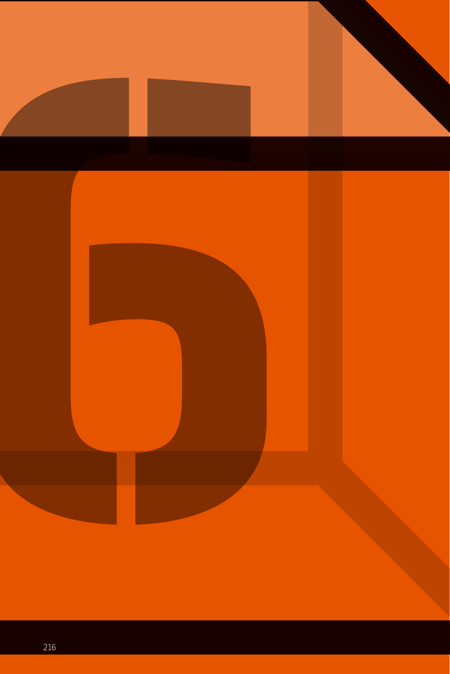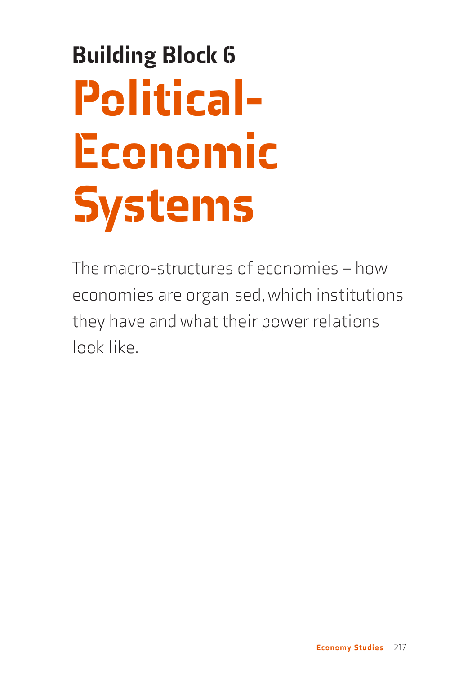# Building Block 6 Political-Economic Systems

The macro-structures of economies – how economies are organised, which institutions they have and what their power relations look like.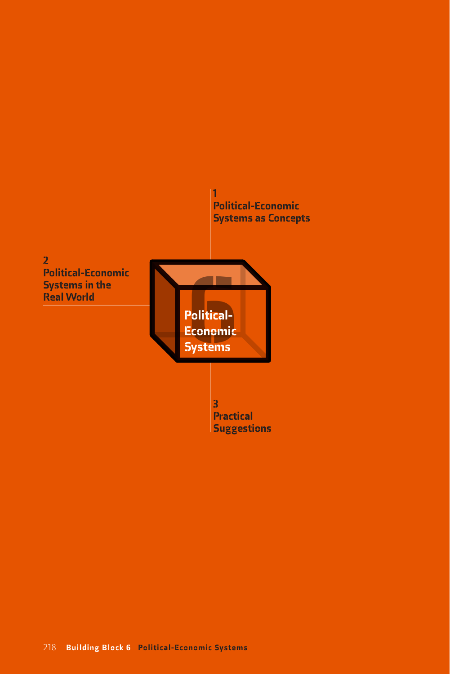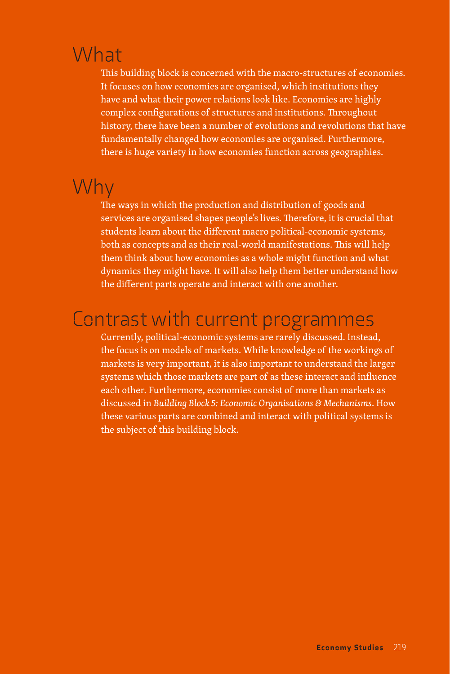### What

This building block is concerned with the macro-structures of economies. It focuses on how economies are organised, which institutions they have and what their power relations look like. Economies are highly complex configurations of structures and institutions. Throughout history, there have been a number of evolutions and revolutions that have fundamentally changed how economies are organised. Furthermore, there is huge variety in how economies function across geographies.

### Why

The ways in which the production and distribution of goods and services are organised shapes people's lives. Therefore, it is crucial that students learn about the different macro political-economic systems, both as concepts and as their real-world manifestations. This will help them think about how economies as a whole might function and what dynamics they might have. It will also help them better understand how the different parts operate and interact with one another.

### Contrast with current programmes

Currently, political-economic systems are rarely discussed. Instead, the focus is on models of markets. While knowledge of the workings of markets is very important, it is also important to understand the larger systems which those markets are part of as these interact and influence each other. Furthermore, economies consist of more than markets as discussed in *Building Block 5: Economic Organisations & Mechanisms*. How these various parts are combined and interact with political systems is the subject of this building block.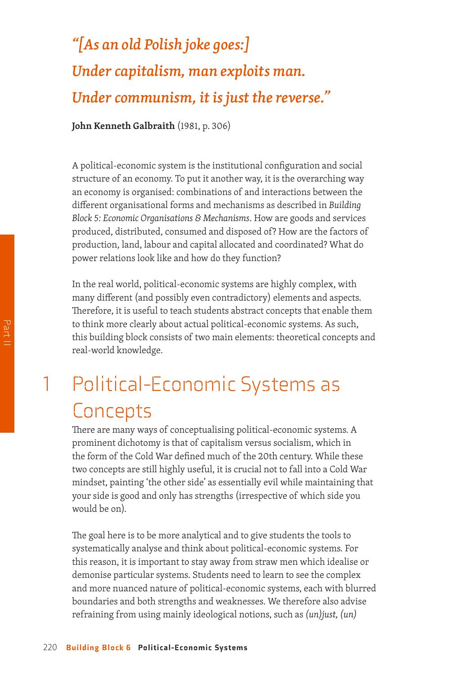### *"[As an old Polish joke goes:] Under capitalism, man exploits man. Under communism, it is just the reverse."*

**John Kenneth Galbraith** (1981, p. 306)

A political-economic system is the institutional configuration and social structure of an economy. To put it another way, it is the overarching way an economy is organised: combinations of and interactions between the different organisational forms and mechanisms as described in *Building Block 5: Economic Organisations & Mechanisms*. How are goods and services produced, distributed, consumed and disposed of? How are the factors of production, land, labour and capital allocated and coordinated? What do power relations look like and how do they function?

In the real world, political-economic systems are highly complex, with many different (and possibly even contradictory) elements and aspects. Therefore, it is useful to teach students abstract concepts that enable them to think more clearly about actual political-economic systems. As such, this building block consists of two main elements: theoretical concepts and real-world knowledge.

### 1 Political-Economic Systems as **Concepts**

There are many ways of conceptualising political-economic systems. A prominent dichotomy is that of capitalism versus socialism, which in the form of the Cold War defined much of the 20th century. While these two concepts are still highly useful, it is crucial not to fall into a Cold War mindset, painting 'the other side' as essentially evil while maintaining that your side is good and only has strengths (irrespective of which side you would be on).

The goal here is to be more analytical and to give students the tools to systematically analyse and think about political-economic systems. For this reason, it is important to stay away from straw men which idealise or demonise particular systems. Students need to learn to see the complex and more nuanced nature of political-economic systems, each with blurred boundaries and both strengths and weaknesses. We therefore also advise refraining from using mainly ideological notions, such as *(un)just, (un)*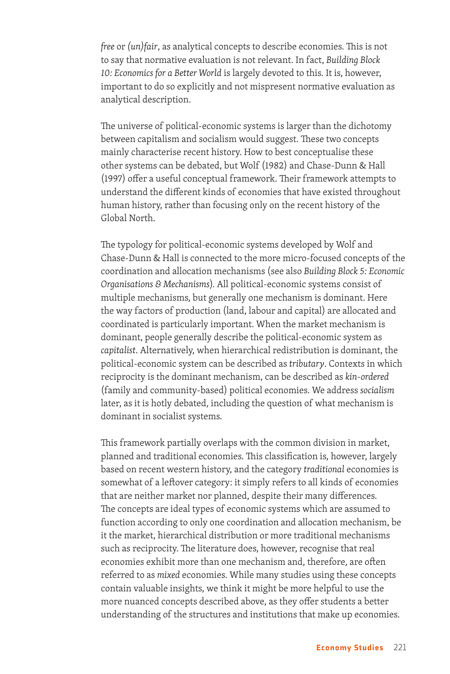*free* or *(un)fair*, as analytical concepts to describe economies. This is not to say that normative evaluation is not relevant. In fact, *Building Block 10: Economics for a Better World* is largely devoted to this. It is, however, important to do so explicitly and not mispresent normative evaluation as analytical description.

The universe of political-economic systems is larger than the dichotomy between capitalism and socialism would suggest. These two concepts mainly characterise recent history. How to best conceptualise these other systems can be debated, but Wolf (1982) and Chase-Dunn & Hall (1997) offer a useful conceptual framework. Their framework attempts to understand the different kinds of economies that have existed throughout human history, rather than focusing only on the recent history of the Global North.

The typology for political-economic systems developed by Wolf and Chase-Dunn & Hall is connected to the more micro-focused concepts of the coordination and allocation mechanisms (see also *Building Block 5: Economic Organisations & Mechanisms*). All political-economic systems consist of multiple mechanisms, but generally one mechanism is dominant. Here the way factors of production (land, labour and capital) are allocated and coordinated is particularly important. When the market mechanism is dominant, people generally describe the political-economic system as *capitalist*. Alternatively, when hierarchical redistribution is dominant, the political-economic system can be described as *tributary*. Contexts in which reciprocity is the dominant mechanism, can be described as *kin-ordered* (family and community-based) political economies. We address *socialism* later, as it is hotly debated, including the question of what mechanism is dominant in socialist systems.

This framework partially overlaps with the common division in market, planned and traditional economies. This classification is, however, largely based on recent western history, and the category *traditional* economies is somewhat of a leftover category: it simply refers to all kinds of economies that are neither market nor planned, despite their many differences. The concepts are ideal types of economic systems which are assumed to function according to only one coordination and allocation mechanism, be it the market, hierarchical distribution or more traditional mechanisms such as reciprocity. The literature does, however, recognise that real economies exhibit more than one mechanism and, therefore, are often referred to as *mixed* economies. While many studies using these concepts contain valuable insights, we think it might be more helpful to use the more nuanced concepts described above, as they offer students a better understanding of the structures and institutions that make up economies.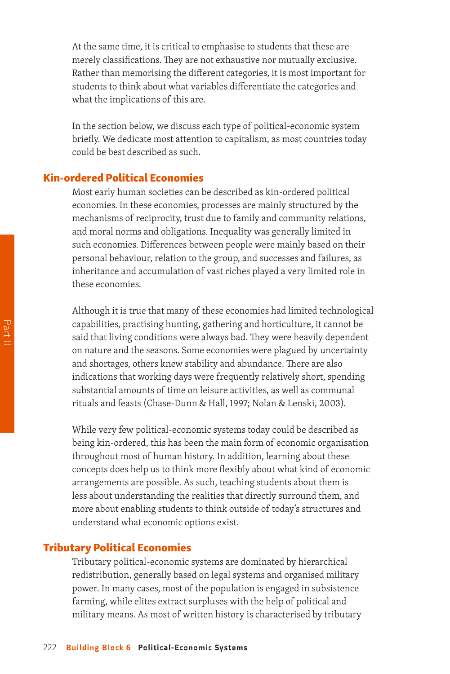At the same time, it is critical to emphasise to students that these are merely classifications. They are not exhaustive nor mutually exclusive. Rather than memorising the different categories, it is most important for students to think about what variables differentiate the categories and what the implications of this are.

In the section below, we discuss each type of political-economic system briefly. We dedicate most attention to capitalism, as most countries today could be best described as such.

#### Kin-ordered Political Economies

Most early human societies can be described as kin-ordered political economies. In these economies, processes are mainly structured by the mechanisms of reciprocity, trust due to family and community relations, and moral norms and obligations. Inequality was generally limited in such economies. Differences between people were mainly based on their personal behaviour, relation to the group, and successes and failures, as inheritance and accumulation of vast riches played a very limited role in these economies.

Although it is true that many of these economies had limited technological capabilities, practising hunting, gathering and horticulture, it cannot be said that living conditions were always bad. They were heavily dependent on nature and the seasons. Some economies were plagued by uncertainty and shortages, others knew stability and abundance. There are also indications that working days were frequently relatively short, spending substantial amounts of time on leisure activities, as well as communal rituals and feasts (Chase-Dunn & Hall, 1997; Nolan & Lenski, 2003).

While very few political-economic systems today could be described as being kin-ordered, this has been the main form of economic organisation throughout most of human history. In addition, learning about these concepts does help us to think more flexibly about what kind of economic arrangements are possible. As such, teaching students about them is less about understanding the realities that directly surround them, and more about enabling students to think outside of today's structures and understand what economic options exist.

#### Tributary Political Economies

Tributary political-economic systems are dominated by hierarchical redistribution, generally based on legal systems and organised military power. In many cases, most of the population is engaged in subsistence farming, while elites extract surpluses with the help of political and military means. As most of written history is characterised by tributary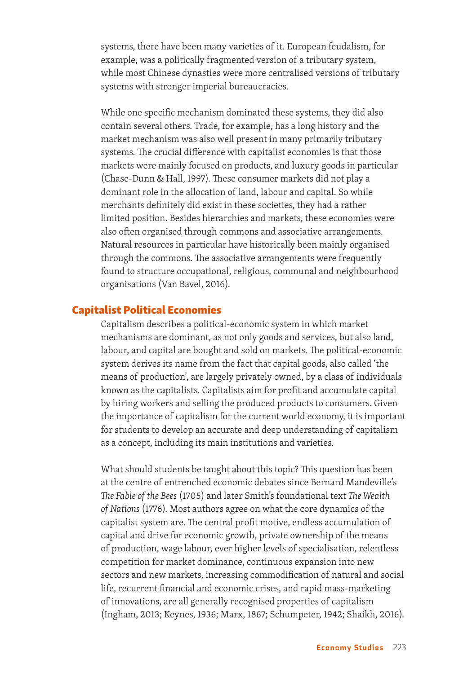systems, there have been many varieties of it. European feudalism, for example, was a politically fragmented version of a tributary system, while most Chinese dynasties were more centralised versions of tributary systems with stronger imperial bureaucracies.

While one specific mechanism dominated these systems, they did also contain several others. Trade, for example, has a long history and the market mechanism was also well present in many primarily tributary systems. The crucial difference with capitalist economies is that those markets were mainly focused on products, and luxury goods in particular (Chase-Dunn & Hall, 1997). These consumer markets did not play a dominant role in the allocation of land, labour and capital. So while merchants definitely did exist in these societies, they had a rather limited position. Besides hierarchies and markets, these economies were also often organised through commons and associative arrangements. Natural resources in particular have historically been mainly organised through the commons. The associative arrangements were frequently found to structure occupational, religious, communal and neighbourhood organisations (Van Bavel, 2016).

#### Capitalist Political Economies

Capitalism describes a political-economic system in which market mechanisms are dominant, as not only goods and services, but also land, labour, and capital are bought and sold on markets. The political-economic system derives its name from the fact that capital goods, also called 'the means of production', are largely privately owned, by a class of individuals known as the capitalists. Capitalists aim for profit and accumulate capital by hiring workers and selling the produced products to consumers. Given the importance of capitalism for the current world economy, it is important for students to develop an accurate and deep understanding of capitalism as a concept, including its main institutions and varieties.

What should students be taught about this topic? This question has been at the centre of entrenched economic debates since Bernard Mandeville's *The Fable of the Bees* (1705) and later Smith's foundational text *The Wealth of Nations* (1776). Most authors agree on what the core dynamics of the capitalist system are. The central profit motive, endless accumulation of capital and drive for economic growth, private ownership of the means of production, wage labour, ever higher levels of specialisation, relentless competition for market dominance, continuous expansion into new sectors and new markets, increasing commodification of natural and social life, recurrent financial and economic crises, and rapid mass-marketing of innovations, are all generally recognised properties of capitalism (Ingham, 2013; Keynes, 1936; Marx, 1867; Schumpeter, 1942; Shaikh, 2016).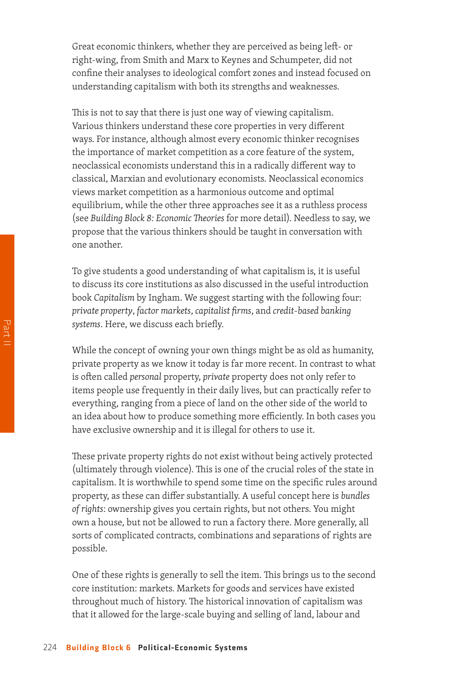Great economic thinkers, whether they are perceived as being left- or right-wing, from Smith and Marx to Keynes and Schumpeter, did not confine their analyses to ideological comfort zones and instead focused on understanding capitalism with both its strengths and weaknesses.

This is not to say that there is just one way of viewing capitalism. Various thinkers understand these core properties in very different ways. For instance, although almost every economic thinker recognises the importance of market competition as a core feature of the system, neoclassical economists understand this in a radically different way to classical, Marxian and evolutionary economists. Neoclassical economics views market competition as a harmonious outcome and optimal equilibrium, while the other three approaches see it as a ruthless process (see *Building Block 8: Economic Theories* for more detail). Needless to say, we propose that the various thinkers should be taught in conversation with one another.

To give students a good understanding of what capitalism is, it is useful to discuss its core institutions as also discussed in the useful introduction book *Capitalism* by Ingham. We suggest starting with the following four: *private property*, *factor markets*, *capitalist firms*, and *credit-based banking systems*. Here, we discuss each briefly.

While the concept of owning your own things might be as old as humanity, private property as we know it today is far more recent. In contrast to what is often called *personal* property, *private* property does not only refer to items people use frequently in their daily lives, but can practically refer to everything, ranging from a piece of land on the other side of the world to an idea about how to produce something more efficiently. In both cases you have exclusive ownership and it is illegal for others to use it.

These private property rights do not exist without being actively protected (ultimately through violence). This is one of the crucial roles of the state in capitalism. It is worthwhile to spend some time on the specific rules around property, as these can differ substantially. A useful concept here is *bundles of rights*: ownership gives you certain rights, but not others. You might own a house, but not be allowed to run a factory there. More generally, all sorts of complicated contracts, combinations and separations of rights are possible.

One of these rights is generally to sell the item. This brings us to the second core institution: markets. Markets for goods and services have existed throughout much of history. The historical innovation of capitalism was that it allowed for the large-scale buying and selling of land, labour and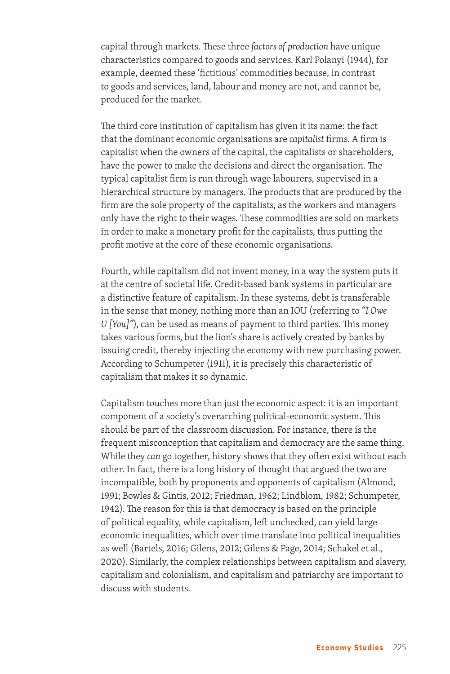capital through markets. These three *factors of production* have unique characteristics compared to goods and services. Karl Polanyi (1944), for example, deemed these 'fictitious' commodities because, in contrast to goods and services, land, labour and money are not, and cannot be, produced for the market.

The third core institution of capitalism has given it its name: the fact that the dominant economic organisations are *capitalist* firms. A firm is capitalist when the owners of the capital, the capitalists or shareholders, have the power to make the decisions and direct the organisation. The typical capitalist firm is run through wage labourers, supervised in a hierarchical structure by managers. The products that are produced by the firm are the sole property of the capitalists, as the workers and managers only have the right to their wages. These commodities are sold on markets in order to make a monetary profit for the capitalists, thus putting the profit motive at the core of these economic organisations.

Fourth, while capitalism did not invent money, in a way the system puts it at the centre of societal life. Credit-based bank systems in particular are a distinctive feature of capitalism. In these systems, debt is transferable in the sense that money, nothing more than an IOU (referring to *"I Owe U [You]"*), can be used as means of payment to third parties. This money takes various forms, but the lion's share is actively created by banks by issuing credit, thereby injecting the economy with new purchasing power. According to Schumpeter (1911), it is precisely this characteristic of capitalism that makes it so dynamic.

Capitalism touches more than just the economic aspect: it is an important component of a society's overarching political-economic system. This should be part of the classroom discussion. For instance, there is the frequent misconception that capitalism and democracy are the same thing. While they *can* go together, history shows that they often exist without each other. In fact, there is a long history of thought that argued the two are incompatible, both by proponents and opponents of capitalism (Almond, 1991; Bowles & Gintis, 2012; Friedman, 1962; Lindblom, 1982; Schumpeter, 1942). The reason for this is that democracy is based on the principle of political equality, while capitalism, left unchecked, can yield large economic inequalities, which over time translate into political inequalities as well (Bartels, 2016; Gilens, 2012; Gilens & Page, 2014; Schakel et al., 2020). Similarly, the complex relationships between capitalism and slavery, capitalism and colonialism, and capitalism and patriarchy are important to discuss with students.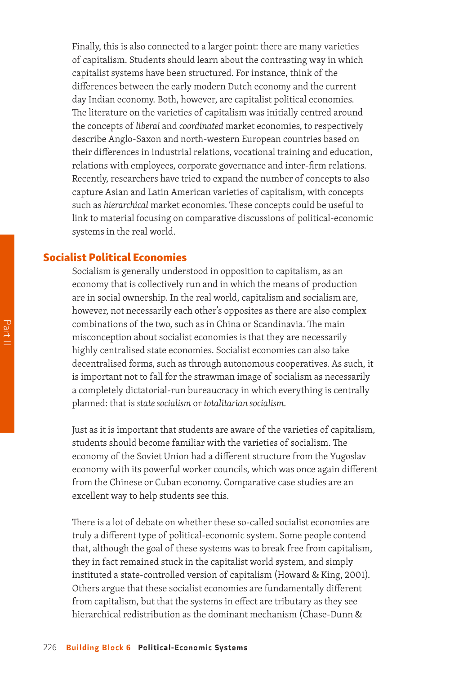Finally, this is also connected to a larger point: there are many varieties of capitalism. Students should learn about the contrasting way in which capitalist systems have been structured. For instance, think of the differences between the early modern Dutch economy and the current day Indian economy. Both, however, are capitalist political economies. The literature on the varieties of capitalism was initially centred around the concepts of *liberal* and *coordinated* market economies, to respectively describe Anglo-Saxon and north-western European countries based on their differences in industrial relations, vocational training and education, relations with employees, corporate governance and inter-firm relations. Recently, researchers have tried to expand the number of concepts to also capture Asian and Latin American varieties of capitalism, with concepts such as *hierarchical* market economies. These concepts could be useful to link to material focusing on comparative discussions of political-economic systems in the real world.

#### Socialist Political Economies

Socialism is generally understood in opposition to capitalism, as an economy that is collectively run and in which the means of production are in social ownership. In the real world, capitalism and socialism are, however, not necessarily each other's opposites as there are also complex combinations of the two, such as in China or Scandinavia. The main misconception about socialist economies is that they are necessarily highly centralised state economies. Socialist economies can also take decentralised forms, such as through autonomous cooperatives. As such, it is important not to fall for the strawman image of socialism as necessarily a completely dictatorial-run bureaucracy in which everything is centrally planned: that is *state socialism* or *totalitarian socialism*.

Just as it is important that students are aware of the varieties of capitalism, students should become familiar with the varieties of socialism. The economy of the Soviet Union had a different structure from the Yugoslav economy with its powerful worker councils, which was once again different from the Chinese or Cuban economy. Comparative case studies are an excellent way to help students see this.

There is a lot of debate on whether these so-called socialist economies are truly a different type of political-economic system. Some people contend that, although the goal of these systems was to break free from capitalism, they in fact remained stuck in the capitalist world system, and simply instituted a state-controlled version of capitalism (Howard & King, 2001). Others argue that these socialist economies are fundamentally different from capitalism, but that the systems in effect are tributary as they see hierarchical redistribution as the dominant mechanism (Chase-Dunn &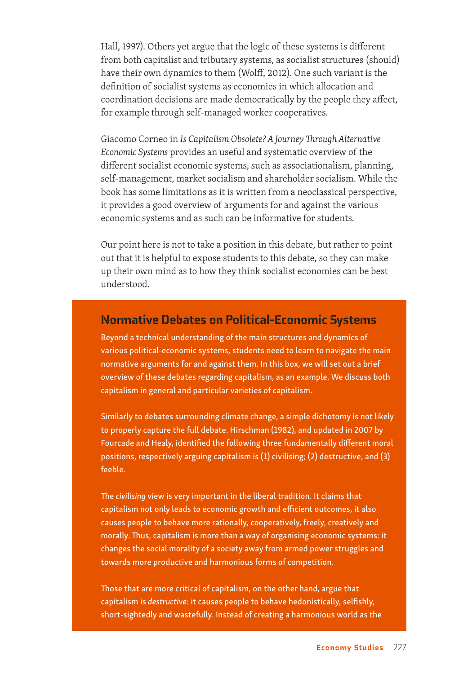Hall, 1997). Others yet argue that the logic of these systems is different from both capitalist and tributary systems, as socialist structures (should) have their own dynamics to them (Wolff, 2012). One such variant is the definition of socialist systems as economies in which allocation and coordination decisions are made democratically by the people they affect, for example through self-managed worker cooperatives.

Giacomo Corneo in *Is Capitalism Obsolete? A Journey Through Alternative Economic Systems* provides an useful and systematic overview of the different socialist economic systems, such as associationalism, planning, self-management, market socialism and shareholder socialism. While the book has some limitations as it is written from a neoclassical perspective, it provides a good overview of arguments for and against the various economic systems and as such can be informative for students.

Our point here is not to take a position in this debate, but rather to point out that it is helpful to expose students to this debate, so they can make up their own mind as to how they think socialist economies can be best understood.

#### Normative Debates on Political-Economic Systems

Beyond a technical understanding of the main structures and dynamics of various political-economic systems, students need to learn to navigate the main normative arguments for and against them. In this box, we will set out a brief overview of these debates regarding capitalism, as an example. We discuss both capitalism in general and particular varieties of capitalism.

Similarly to debates surrounding climate change, a simple dichotomy is not likely to properly capture the full debate. Hirschman (1982), and updated in 2007 by Fourcade and Healy, identified the following three fundamentally different moral positions, respectively arguing capitalism is (1) civilising; (2) destructive; and (3) feeble.

The *civilising* view is very important in the liberal tradition. It claims that capitalism not only leads to economic growth and efficient outcomes, it also causes people to behave more rationally, cooperatively, freely, creatively and morally. Thus, capitalism is more than a way of organising economic systems: it changes the social morality of a society away from armed power struggles and towards more productive and harmonious forms of competition.

Those that are more critical of capitalism, on the other hand, argue that capitalism is *destructive*: it causes people to behave hedonistically, selfishly, short-sightedly and wastefully. Instead of creating a harmonious world as the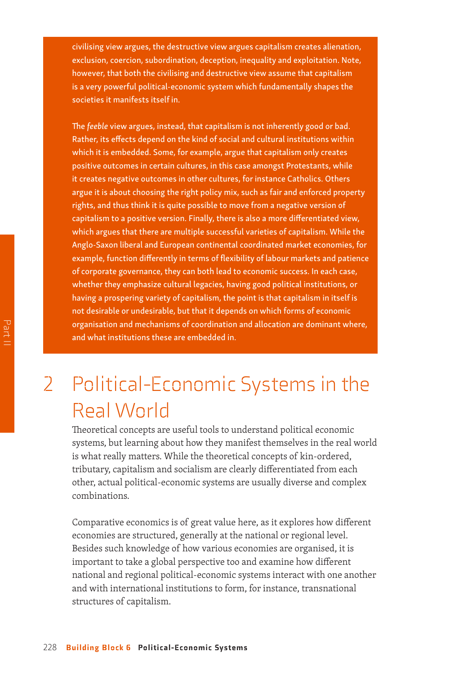civilising view argues, the destructive view argues capitalism creates alienation, exclusion, coercion, subordination, deception, inequality and exploitation. Note, however, that both the civilising and destructive view assume that capitalism is a very powerful political-economic system which fundamentally shapes the societies it manifests itself in.

The *feeble* view argues, instead, that capitalism is not inherently good or bad. Rather, its effects depend on the kind of social and cultural institutions within which it is embedded. Some, for example, argue that capitalism only creates positive outcomes in certain cultures, in this case amongst Protestants, while it creates negative outcomes in other cultures, for instance Catholics. Others argue it is about choosing the right policy mix, such as fair and enforced property rights, and thus think it is quite possible to move from a negative version of capitalism to a positive version. Finally, there is also a more differentiated view, which argues that there are multiple successful varieties of capitalism. While the Anglo-Saxon liberal and European continental coordinated market economies, for example, function differently in terms of flexibility of labour markets and patience of corporate governance, they can both lead to economic success. In each case, whether they emphasize cultural legacies, having good political institutions, or having a prospering variety of capitalism, the point is that capitalism in itself is not desirable or undesirable, but that it depends on which forms of economic organisation and mechanisms of coordination and allocation are dominant where, and what institutions these are embedded in.

### 2 Political-Economic Systems in the Real World

Theoretical concepts are useful tools to understand political economic systems, but learning about how they manifest themselves in the real world is what really matters. While the theoretical concepts of kin-ordered, tributary, capitalism and socialism are clearly differentiated from each other, actual political-economic systems are usually diverse and complex combinations.

Comparative economics is of great value here, as it explores how different economies are structured, generally at the national or regional level. Besides such knowledge of how various economies are organised, it is important to take a global perspective too and examine how different national and regional political-economic systems interact with one another and with international institutions to form, for instance, transnational structures of capitalism.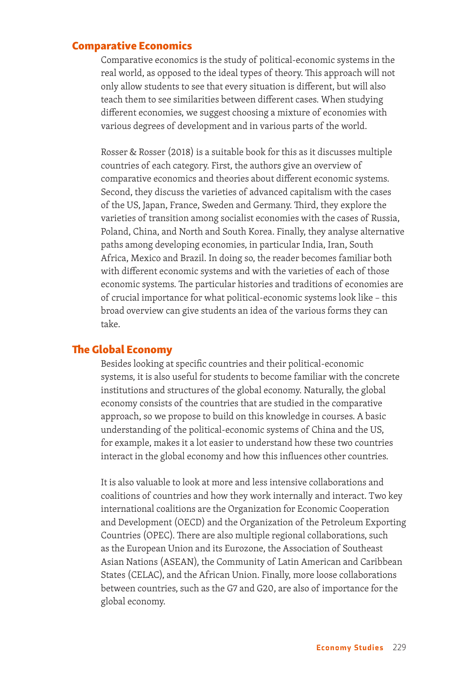#### Comparative Economics

Comparative economics is the study of political-economic systems in the real world, as opposed to the ideal types of theory. This approach will not only allow students to see that every situation is different, but will also teach them to see similarities between different cases. When studying different economies, we suggest choosing a mixture of economies with various degrees of development and in various parts of the world.

Rosser & Rosser (2018) is a suitable book for this as it discusses multiple countries of each category. First, the authors give an overview of comparative economics and theories about different economic systems. Second, they discuss the varieties of advanced capitalism with the cases of the US, Japan, France, Sweden and Germany. Third, they explore the varieties of transition among socialist economies with the cases of Russia, Poland, China, and North and South Korea. Finally, they analyse alternative paths among developing economies, in particular India, Iran, South Africa, Mexico and Brazil. In doing so, the reader becomes familiar both with different economic systems and with the varieties of each of those economic systems. The particular histories and traditions of economies are of crucial importance for what political-economic systems look like – this broad overview can give students an idea of the various forms they can take.

#### The Global Economy

Besides looking at specific countries and their political-economic systems, it is also useful for students to become familiar with the concrete institutions and structures of the global economy. Naturally, the global economy consists of the countries that are studied in the comparative approach, so we propose to build on this knowledge in courses. A basic understanding of the political-economic systems of China and the US, for example, makes it a lot easier to understand how these two countries interact in the global economy and how this influences other countries.

It is also valuable to look at more and less intensive collaborations and coalitions of countries and how they work internally and interact. Two key international coalitions are the Organization for Economic Cooperation and Development (OECD) and the Organization of the Petroleum Exporting Countries (OPEC). There are also multiple regional collaborations, such as the European Union and its Eurozone, the Association of Southeast Asian Nations (ASEAN), the Community of Latin American and Caribbean States (CELAC), and the African Union. Finally, more loose collaborations between countries, such as the G7 and G20, are also of importance for the global economy.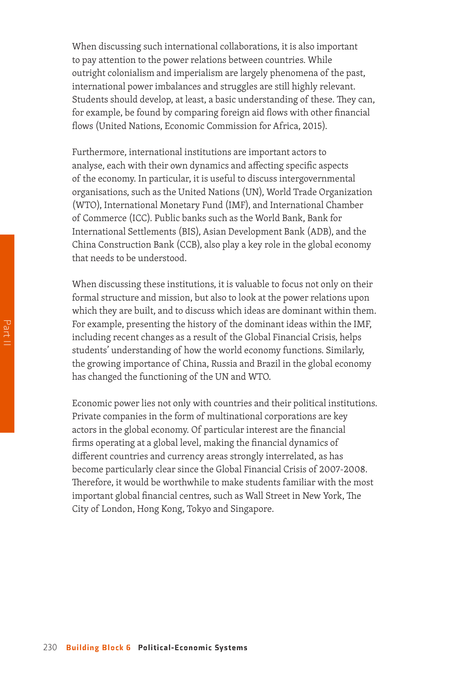When discussing such international collaborations, it is also important to pay attention to the power relations between countries. While outright colonialism and imperialism are largely phenomena of the past, international power imbalances and struggles are still highly relevant. Students should develop, at least, a basic understanding of these. They can, for example, be found by comparing foreign aid flows with other financial flows (United Nations, Economic Commission for Africa, 2015).

Furthermore, international institutions are important actors to analyse, each with their own dynamics and affecting specific aspects of the economy. In particular, it is useful to discuss intergovernmental organisations, such as the United Nations (UN), World Trade Organization (WTO), International Monetary Fund (IMF), and International Chamber of Commerce (ICC). Public banks such as the World Bank, Bank for International Settlements (BIS), Asian Development Bank (ADB), and the China Construction Bank (CCB), also play a key role in the global economy that needs to be understood.

When discussing these institutions, it is valuable to focus not only on their formal structure and mission, but also to look at the power relations upon which they are built, and to discuss which ideas are dominant within them. For example, presenting the history of the dominant ideas within the IMF, including recent changes as a result of the Global Financial Crisis, helps students' understanding of how the world economy functions. Similarly, the growing importance of China, Russia and Brazil in the global economy has changed the functioning of the UN and WTO.

Economic power lies not only with countries and their political institutions. Private companies in the form of multinational corporations are key actors in the global economy. Of particular interest are the financial firms operating at a global level, making the financial dynamics of different countries and currency areas strongly interrelated, as has become particularly clear since the Global Financial Crisis of 2007-2008. Therefore, it would be worthwhile to make students familiar with the most important global financial centres, such as Wall Street in New York, The City of London, Hong Kong, Tokyo and Singapore.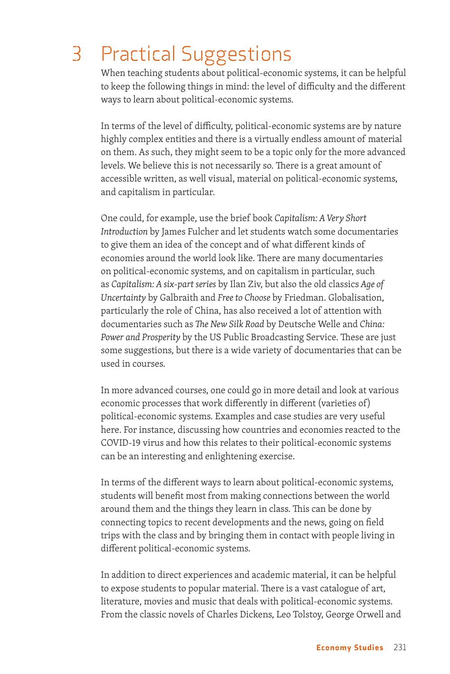## 3 Practical Suggestions

When teaching students about political-economic systems, it can be helpful to keep the following things in mind: the level of difficulty and the different ways to learn about political-economic systems.

In terms of the level of difficulty, political-economic systems are by nature highly complex entities and there is a virtually endless amount of material on them. As such, they might seem to be a topic only for the more advanced levels. We believe this is not necessarily so. There is a great amount of accessible written, as well visual, material on political-economic systems, and capitalism in particular.

One could, for example, use the brief book *Capitalism: A Very Short Introduction* by James Fulcher and let students watch some documentaries to give them an idea of the concept and of what different kinds of economies around the world look like. There are many documentaries on political-economic systems, and on capitalism in particular, such as *Capitalism: A six-part series* by Ilan Ziv, but also the old classics *Age of Uncertainty* by Galbraith and *Free to Choose* by Friedman. Globalisation, particularly the role of China, has also received a lot of attention with documentaries such as *The New Silk Road* by Deutsche Welle and *China: Power and Prosperity* by the US Public Broadcasting Service. These are just some suggestions, but there is a wide variety of documentaries that can be used in courses.

In more advanced courses, one could go in more detail and look at various economic processes that work differently in different (varieties of) political-economic systems. Examples and case studies are very useful here. For instance, discussing how countries and economies reacted to the COVID-19 virus and how this relates to their political-economic systems can be an interesting and enlightening exercise.

In terms of the different ways to learn about political-economic systems, students will benefit most from making connections between the world around them and the things they learn in class. This can be done by connecting topics to recent developments and the news, going on field trips with the class and by bringing them in contact with people living in different political-economic systems.

In addition to direct experiences and academic material, it can be helpful to expose students to popular material. There is a vast catalogue of art, literature, movies and music that deals with political-economic systems. From the classic novels of Charles Dickens, Leo Tolstoy, George Orwell and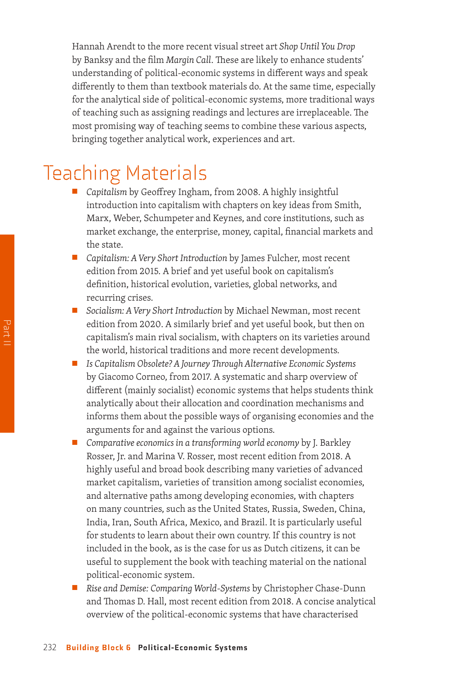Hannah Arendt to the more recent visual street art *Shop Until You Drop* by Banksy and the film *Margin Call*. These are likely to enhance students' understanding of political-economic systems in different ways and speak differently to them than textbook materials do. At the same time, especially for the analytical side of political-economic systems, more traditional ways of teaching such as assigning readings and lectures are irreplaceable. The most promising way of teaching seems to combine these various aspects, bringing together analytical work, experiences and art.

### Teaching Materials

- *Capitalism* by Geoffrey Ingham, from 2008. A highly insightful introduction into capitalism with chapters on key ideas from Smith, Marx, Weber, Schumpeter and Keynes, and core institutions, such as market exchange, the enterprise, money, capital, financial markets and the state.
- *Capitalism: A Very Short Introduction* by James Fulcher, most recent edition from 2015. A brief and yet useful book on capitalism's definition, historical evolution, varieties, global networks, and recurring crises.
- *Socialism: A Very Short Introduction* by Michael Newman, most recent edition from 2020. A similarly brief and yet useful book, but then on capitalism's main rival socialism, with chapters on its varieties around the world, historical traditions and more recent developments.
- *Is Capitalism Obsolete? A Journey Through Alternative Economic Systems* by Giacomo Corneo, from 2017. A systematic and sharp overview of different (mainly socialist) economic systems that helps students think analytically about their allocation and coordination mechanisms and informs them about the possible ways of organising economies and the arguments for and against the various options.
- *Comparative economics in a transforming world economy* by J. Barkley Rosser, Jr. and Marina V. Rosser, most recent edition from 2018. A highly useful and broad book describing many varieties of advanced market capitalism, varieties of transition among socialist economies, and alternative paths among developing economies, with chapters on many countries, such as the United States, Russia, Sweden, China, India, Iran, South Africa, Mexico, and Brazil. It is particularly useful for students to learn about their own country. If this country is not included in the book, as is the case for us as Dutch citizens, it can be useful to supplement the book with teaching material on the national political-economic system.
- *Rise and Demise: Comparing World-Systems* by Christopher Chase-Dunn and Thomas D. Hall, most recent edition from 2018. A concise analytical overview of the political-economic systems that have characterised